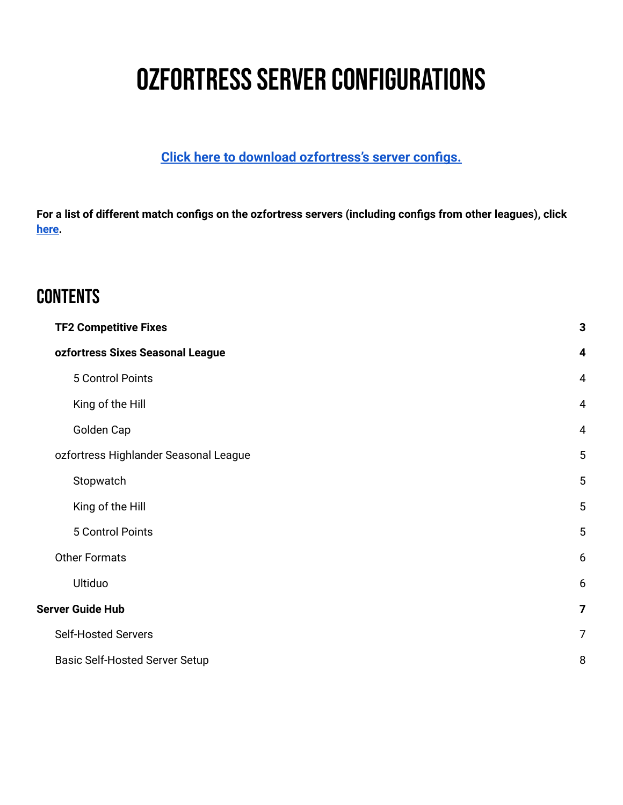# OZFORTRESS SERVER CONFIGURATIONS

**Click here to download [ozfortress's](https://github.com/ozfortress/server-configs/archive/master.zip) server configs.**

For a list of different match configs on the ozfortress servers (including configs from other leagues), click **[here.](https://github.com/ozfortress/server-configs/tree/master/cfg)**

## **CONTENTS**

|                         | <b>TF2 Competitive Fixes</b>          | 3                       |
|-------------------------|---------------------------------------|-------------------------|
|                         | ozfortress Sixes Seasonal League      | $\overline{\mathbf{4}}$ |
|                         | 5 Control Points                      | $\overline{4}$          |
|                         | King of the Hill                      | $\overline{4}$          |
|                         | Golden Cap                            | $\overline{4}$          |
|                         | ozfortress Highlander Seasonal League | $\overline{5}$          |
|                         | Stopwatch                             | 5                       |
|                         | King of the Hill                      | $\overline{5}$          |
|                         | 5 Control Points                      | $\overline{5}$          |
|                         | <b>Other Formats</b>                  | 6                       |
|                         | Ultiduo                               | $6\,$                   |
| <b>Server Guide Hub</b> |                                       | $\overline{7}$          |
|                         | <b>Self-Hosted Servers</b>            | 7                       |
|                         | <b>Basic Self-Hosted Server Setup</b> | 8                       |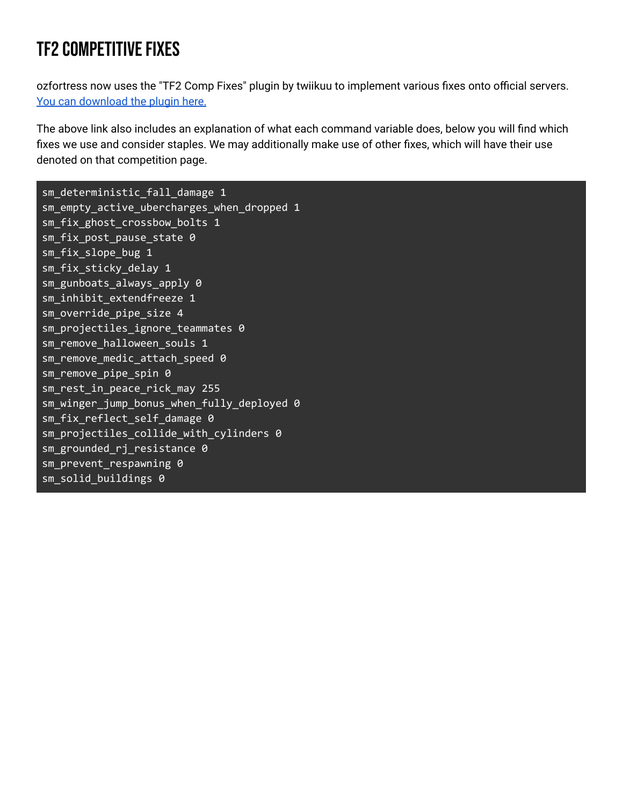## <span id="page-1-0"></span>TF2 COMPETITIVE FIXES

ozfortress now uses the "TF2 Comp Fixes" plugin by twiikuu to implement various fixes onto official servers. You can [download](https://github.com/ldesgoui/tf2-comp-fixes) the plugin here.

The above link also includes an explanation of what each command variable does, below you will find which fixes we use and consider staples. We may additionally make use of other fixes, which will have their use denoted on that competition page.

#### sm deterministic fall damage 1

```
sm empty active ubercharges when dropped 1
sm_fix_ghost_crossbow_bolts 1
sm fix post pause state 0
sm fix slope bug 1
sm_fix_sticky_delay 1
sm gunboats always apply 0
sm inhibit extendfreeze 1
sm override pipe size 4
sm_projectiles_ignore_teammates 0
sm remove halloween souls 1
sm remove medic attach speed 0
sm_remove_pipe_spin 0
sm_rest_in_peace_rick_may 255
sm winger jump bonus when fully deployed 0
sm_fix_reflect_self_damage 0
sm projectiles collide with cylinders 0
sm_grounded_rj_resistance 0
sm_prevent_respawning 0
sm_solid_buildings 0
```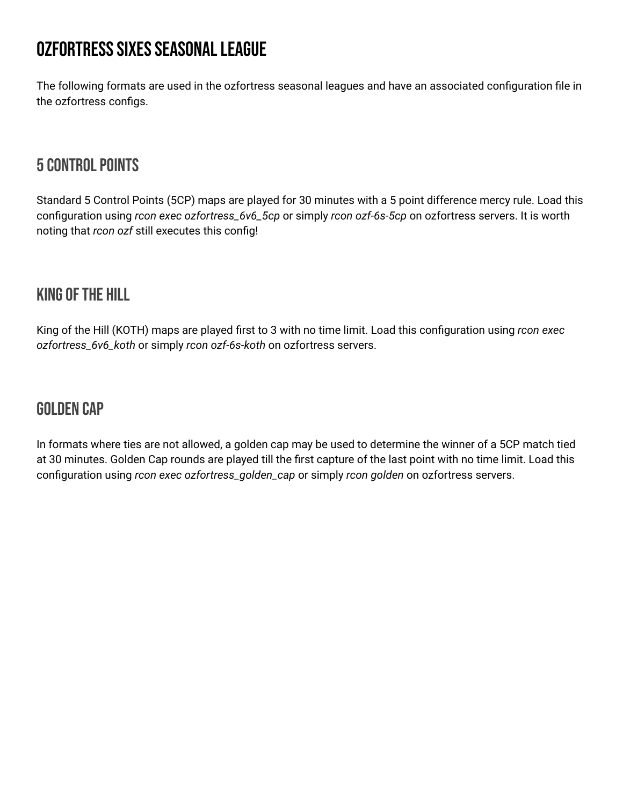## <span id="page-2-0"></span>OZFORTRESS SIXES SEASONAL LEAGUE

The following formats are used in the ozfortress seasonal leagues and have an associated configuration file in the ozfortress configs.

### <span id="page-2-1"></span>5 CONTROL POINTS

Standard 5 Control Points (5CP) maps are played for 30 minutes with a 5 point difference mercy rule. Load this configuration using *rcon exec ozfortress\_6v6\_5cp* or simply *rcon ozf-6s-5cp* on ozfortress servers. It is worth noting that *rcon ozf* still executes this config!

#### <span id="page-2-2"></span>KING OF THE HILL

King of the Hill (KOTH) maps are played first to 3 with no time limit. Load this configuration using *rcon exec ozfortress\_6v6\_koth* or simply *rcon ozf-6s-koth* on ozfortress servers.

#### <span id="page-2-3"></span>Golden Cap

In formats where ties are not allowed, a golden cap may be used to determine the winner of a 5CP match tied at 30 minutes. Golden Cap rounds are played till the first capture of the last point with no time limit. Load this configuration using *rcon exec ozfortress\_golden\_cap* or simply *rcon golden* on ozfortress servers.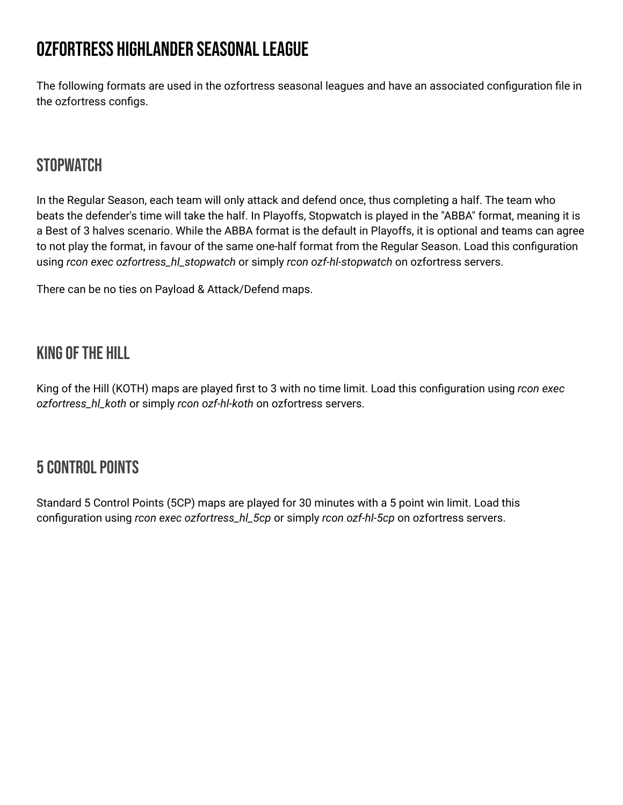## <span id="page-3-0"></span>OZFORTRESS HIGHLANDER SEASONAL LEAGUE

The following formats are used in the ozfortress seasonal leagues and have an associated configuration file in the ozfortress configs.

#### <span id="page-3-1"></span>**STOPWATCH**

In the Regular Season, each team will only attack and defend once, thus completing a half. The team who beats the defender's time will take the half. In Playoffs, Stopwatch is played in the "ABBA" format, meaning it is a Best of 3 halves scenario. While the ABBA format is the default in Playoffs, it is optional and teams can agree to not play the format, in favour of the same one-half format from the Regular Season. Load this configuration using *rcon exec ozfortress\_hl\_stopwatch* or simply *rcon ozf-hl-stopwatch* on ozfortress servers.

There can be no ties on Payload & Attack/Defend maps.

#### <span id="page-3-2"></span>KING OF THE HILL

King of the Hill (KOTH) maps are played first to 3 with no time limit. Load this configuration using *rcon exec ozfortress\_hl\_koth* or simply *rcon ozf-hl-koth* on ozfortress servers.

#### <span id="page-3-3"></span>**5 CONTROL POINTS**

Standard 5 Control Points (5CP) maps are played for 30 minutes with a 5 point win limit. Load this configuration using *rcon exec ozfortress\_hl\_5cp* or simply *rcon ozf-hl-5cp* on ozfortress servers.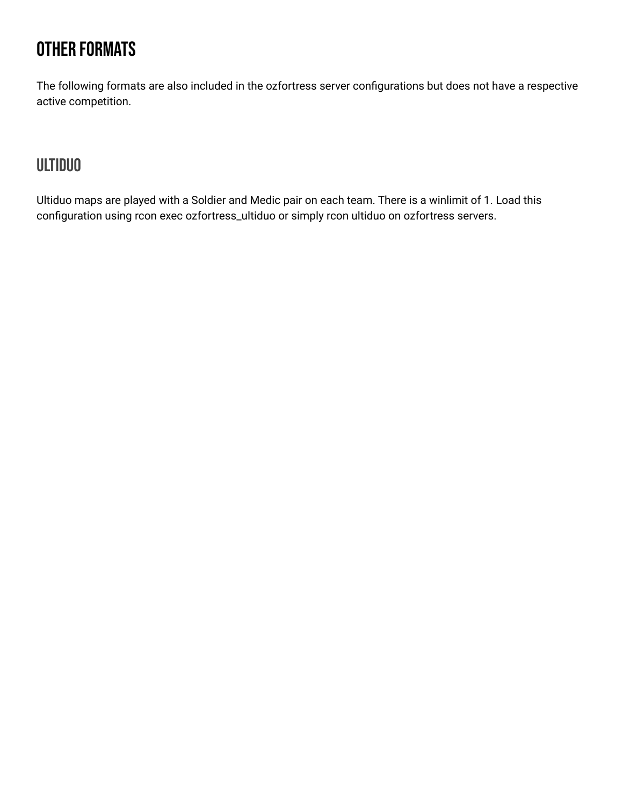## <span id="page-4-0"></span>Other Formats

The following formats are also included in the ozfortress server configurations but does not have a respective active competition.

#### <span id="page-4-1"></span>**ULTIDUO**

Ultiduo maps are played with a Soldier and Medic pair on each team. There is a winlimit of 1. Load this configuration using rcon exec ozfortress\_ultiduo or simply rcon ultiduo on ozfortress servers.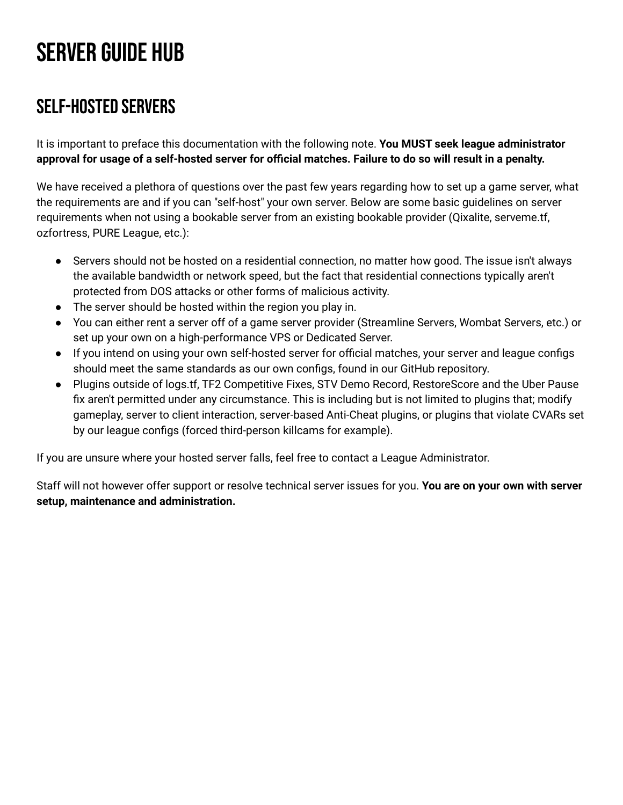## <span id="page-5-0"></span>Server Guide Hub

### <span id="page-5-1"></span>Self-Hosted Servers

It is important to preface this documentation with the following note. **You MUST seek league administrator** approval for usage of a self-hosted server for official matches. Failure to do so will result in a penalty.

We have received a plethora of questions over the past few years regarding how to set up a game server, what the requirements are and if you can "self-host" your own server. Below are some basic guidelines on server requirements when not using a bookable server from an existing bookable provider (Qixalite, serveme.tf, ozfortress, PURE League, etc.):

- Servers should not be hosted on a residential connection, no matter how good. The issue isn't always the available bandwidth or network speed, but the fact that residential connections typically aren't protected from DOS attacks or other forms of malicious activity.
- The server should be hosted within the region you play in.
- You can either rent a server off of a game server provider (Streamline Servers, Wombat Servers, etc.) or set up your own on a high-performance VPS or Dedicated Server.
- If you intend on using your own self-hosted server for official matches, your server and league configs should meet the same standards as our own configs, found in our GitHub repository.
- Plugins outside of logs.tf, TF2 Competitive Fixes, STV Demo Record, RestoreScore and the Uber Pause fix aren't permitted under any circumstance. This is including but is not limited to plugins that; modify gameplay, server to client interaction, server-based Anti-Cheat plugins, or plugins that violate CVARs set by our league configs (forced third-person killcams for example).

If you are unsure where your hosted server falls, feel free to contact a League Administrator.

Staff will not however offer support or resolve technical server issues for you. **You are on your own with server setup, maintenance and administration.**